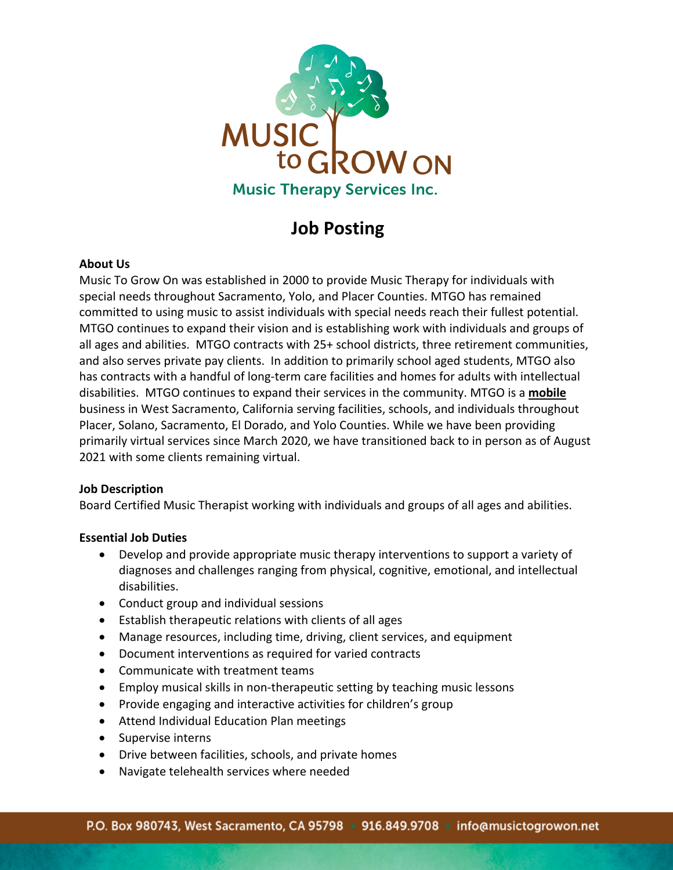

# **Job Posting**

# **About Us**

Music To Grow On was established in 2000 to provide Music Therapy for individuals with special needs throughout Sacramento, Yolo, and Placer Counties. MTGO has remained committed to using music to assist individuals with special needs reach their fullest potential. MTGO continues to expand their vision and is establishing work with individuals and groups of all ages and abilities. MTGO contracts with 25+ school districts, three retirement communities, and also serves private pay clients. In addition to primarily school aged students, MTGO also has contracts with a handful of long-term care facilities and homes for adults with intellectual disabilities. MTGO continues to expand their services in the community. MTGO is a **mobile** business in West Sacramento, California serving facilities, schools, and individuals throughout Placer, Solano, Sacramento, El Dorado, and Yolo Counties. While we have been providing primarily virtual services since March 2020, we have transitioned back to in person as of August 2021 with some clients remaining virtual.

# **Job Description**

Board Certified Music Therapist working with individuals and groups of all ages and abilities.

# **Essential Job Duties**

- Develop and provide appropriate music therapy interventions to support a variety of diagnoses and challenges ranging from physical, cognitive, emotional, and intellectual disabilities.
- Conduct group and individual sessions
- Establish therapeutic relations with clients of all ages
- Manage resources, including time, driving, client services, and equipment
- Document interventions as required for varied contracts
- Communicate with treatment teams
- Employ musical skills in non-therapeutic setting by teaching music lessons
- Provide engaging and interactive activities for children's group
- Attend Individual Education Plan meetings
- Supervise interns
- Drive between facilities, schools, and private homes
- Navigate telehealth services where needed